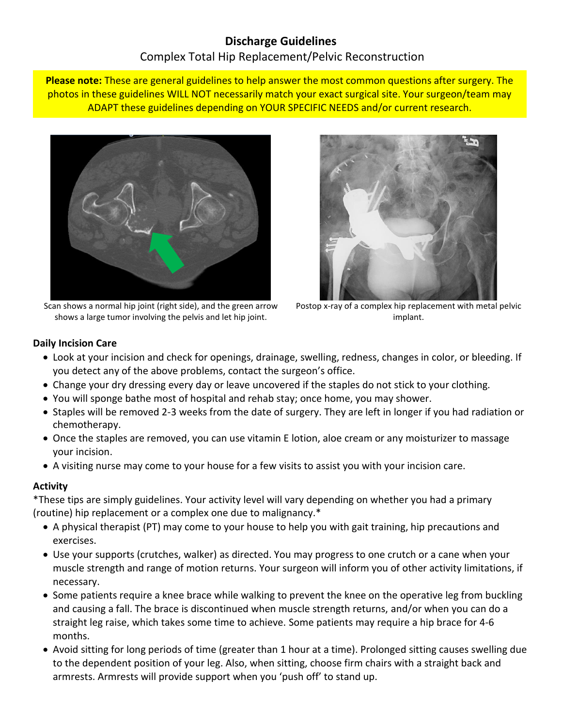# **Discharge Guidelines** Complex Total Hip Replacement/Pelvic Reconstruction

**Please note:** These are general guidelines to help answer the most common questions after surgery. The photos in these guidelines WILL NOT necessarily match your exact surgical site. Your surgeon/team may ADAPT these guidelines depending on YOUR SPECIFIC NEEDS and/or current research.



Scan shows a normal hip joint (right side), and the green arrow shows a large tumor involving the pelvis and let hip joint.



Postop x-ray of a complex hip replacement with metal pelvic implant.

## **Daily Incision Care**

- Look at your incision and check for openings, drainage, swelling, redness, changes in color, or bleeding. If you detect any of the above problems, contact the surgeon's office.
- Change your dry dressing every day or leave uncovered if the staples do not stick to your clothing.
- You will sponge bathe most of hospital and rehab stay; once home, you may shower.
- Staples will be removed 2-3 weeks from the date of surgery. They are left in longer if you had radiation or chemotherapy.
- Once the staples are removed, you can use vitamin E lotion, aloe cream or any moisturizer to massage your incision.
- A visiting nurse may come to your house for a few visits to assist you with your incision care.

## **Activity**

\*These tips are simply guidelines. Your activity level will vary depending on whether you had a primary (routine) hip replacement or a complex one due to malignancy.\*

- A physical therapist (PT) may come to your house to help you with gait training, hip precautions and exercises.
- Use your supports (crutches, walker) as directed. You may progress to one crutch or a cane when your muscle strength and range of motion returns. Your surgeon will inform you of other activity limitations, if necessary.
- Some patients require a knee brace while walking to prevent the knee on the operative leg from buckling and causing a fall. The brace is discontinued when muscle strength returns, and/or when you can do a straight leg raise, which takes some time to achieve. Some patients may require a hip brace for 4-6 months.
- Avoid sitting for long periods of time (greater than 1 hour at a time). Prolonged sitting causes swelling due to the dependent position of your leg. Also, when sitting, choose firm chairs with a straight back and armrests. Armrests will provide support when you 'push off' to stand up.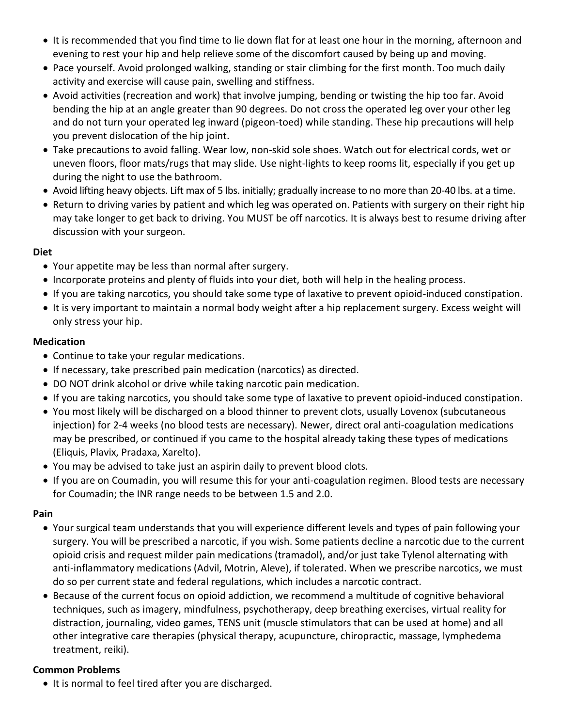- It is recommended that you find time to lie down flat for at least one hour in the morning, afternoon and evening to rest your hip and help relieve some of the discomfort caused by being up and moving.
- Pace yourself. Avoid prolonged walking, standing or stair climbing for the first month. Too much daily activity and exercise will cause pain, swelling and stiffness.
- Avoid activities (recreation and work) that involve jumping, bending or twisting the hip too far. Avoid bending the hip at an angle greater than 90 degrees. Do not cross the operated leg over your other leg and do not turn your operated leg inward (pigeon-toed) while standing. These hip precautions will help you prevent dislocation of the hip joint.
- Take precautions to avoid falling. Wear low, non-skid sole shoes. Watch out for electrical cords, wet or uneven floors, floor mats/rugs that may slide. Use night-lights to keep rooms lit, especially if you get up during the night to use the bathroom.
- Avoid lifting heavy objects. Lift max of 5 lbs. initially; gradually increase to no more than 20-40 lbs. at a time.
- Return to driving varies by patient and which leg was operated on. Patients with surgery on their right hip may take longer to get back to driving. You MUST be off narcotics. It is always best to resume driving after discussion with your surgeon.

### **Diet**

- Your appetite may be less than normal after surgery.
- Incorporate proteins and plenty of fluids into your diet, both will help in the healing process.
- If you are taking narcotics, you should take some type of laxative to prevent opioid-induced constipation.
- It is very important to maintain a normal body weight after a hip replacement surgery. Excess weight will only stress your hip.

## **Medication**

- Continue to take your regular medications.
- If necessary, take prescribed pain medication (narcotics) as directed.
- DO NOT drink alcohol or drive while taking narcotic pain medication.
- If you are taking narcotics, you should take some type of laxative to prevent opioid-induced constipation.
- You most likely will be discharged on a blood thinner to prevent clots, usually Lovenox (subcutaneous injection) for 2-4 weeks (no blood tests are necessary). Newer, direct oral anti-coagulation medications may be prescribed, or continued if you came to the hospital already taking these types of medications (Eliquis, Plavix, Pradaxa, Xarelto).
- You may be advised to take just an aspirin daily to prevent blood clots.
- If you are on Coumadin, you will resume this for your anti-coagulation regimen. Blood tests are necessary for Coumadin; the INR range needs to be between 1.5 and 2.0.

### **Pain**

- Your surgical team understands that you will experience different levels and types of pain following your surgery. You will be prescribed a narcotic, if you wish. Some patients decline a narcotic due to the current opioid crisis and request milder pain medications (tramadol), and/or just take Tylenol alternating with anti-inflammatory medications (Advil, Motrin, Aleve), if tolerated. When we prescribe narcotics, we must do so per current state and federal regulations, which includes a narcotic contract.
- Because of the current focus on opioid addiction, we recommend a multitude of cognitive behavioral techniques, such as imagery, mindfulness, psychotherapy, deep breathing exercises, virtual reality for distraction, journaling, video games, TENS unit (muscle stimulators that can be used at home) and all other integrative care therapies (physical therapy, acupuncture, chiropractic, massage, lymphedema treatment, reiki).

## **Common Problems**

• It is normal to feel tired after you are discharged.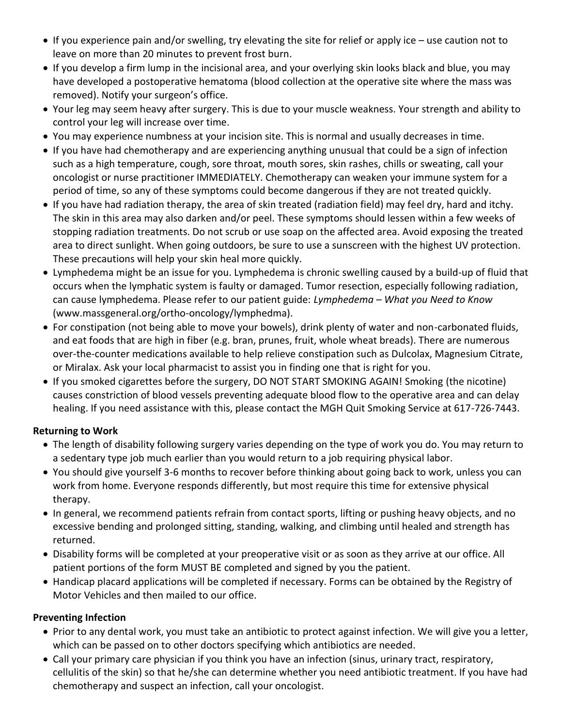- If you experience pain and/or swelling, try elevating the site for relief or apply ice use caution not to leave on more than 20 minutes to prevent frost burn.
- If you develop a firm lump in the incisional area, and your overlying skin looks black and blue, you may have developed a postoperative hematoma (blood collection at the operative site where the mass was removed). Notify your surgeon's office.
- Your leg may seem heavy after surgery. This is due to your muscle weakness. Your strength and ability to control your leg will increase over time.
- You may experience numbness at your incision site. This is normal and usually decreases in time.
- If you have had chemotherapy and are experiencing anything unusual that could be a sign of infection such as a high temperature, cough, sore throat, mouth sores, skin rashes, chills or sweating, call your oncologist or nurse practitioner IMMEDIATELY. Chemotherapy can weaken your immune system for a period of time, so any of these symptoms could become dangerous if they are not treated quickly.
- If you have had radiation therapy, the area of skin treated (radiation field) may feel dry, hard and itchy. The skin in this area may also darken and/or peel. These symptoms should lessen within a few weeks of stopping radiation treatments. Do not scrub or use soap on the affected area. Avoid exposing the treated area to direct sunlight. When going outdoors, be sure to use a sunscreen with the highest UV protection. These precautions will help your skin heal more quickly.
- Lymphedema might be an issue for you. Lymphedema is chronic swelling caused by a build-up of fluid that occurs when the lymphatic system is faulty or damaged. Tumor resection, especially following radiation, can cause lymphedema. Please refer to our patient guide: *Lymphedema – What you Need to Know* (www.massgeneral.org/ortho-oncology/lymphedma).
- For constipation (not being able to move your bowels), drink plenty of water and non-carbonated fluids, and eat foods that are high in fiber (e.g. bran, prunes, fruit, whole wheat breads). There are numerous over-the-counter medications available to help relieve constipation such as Dulcolax, Magnesium Citrate, or Miralax. Ask your local pharmacist to assist you in finding one that is right for you.
- If you smoked cigarettes before the surgery, DO NOT START SMOKING AGAIN! Smoking (the nicotine) causes constriction of blood vessels preventing adequate blood flow to the operative area and can delay healing. If you need assistance with this, please contact the MGH Quit Smoking Service at 617-726-7443.

### **Returning to Work**

- The length of disability following surgery varies depending on the type of work you do. You may return to a sedentary type job much earlier than you would return to a job requiring physical labor.
- You should give yourself 3-6 months to recover before thinking about going back to work, unless you can work from home. Everyone responds differently, but most require this time for extensive physical therapy.
- In general, we recommend patients refrain from contact sports, lifting or pushing heavy objects, and no excessive bending and prolonged sitting, standing, walking, and climbing until healed and strength has returned.
- Disability forms will be completed at your preoperative visit or as soon as they arrive at our office. All patient portions of the form MUST BE completed and signed by you the patient.
- Handicap placard applications will be completed if necessary. Forms can be obtained by the Registry of Motor Vehicles and then mailed to our office.

### **Preventing Infection**

- Prior to any dental work, you must take an antibiotic to protect against infection. We will give you a letter, which can be passed on to other doctors specifying which antibiotics are needed.
- Call your primary care physician if you think you have an infection (sinus, urinary tract, respiratory, cellulitis of the skin) so that he/she can determine whether you need antibiotic treatment. If you have had chemotherapy and suspect an infection, call your oncologist.